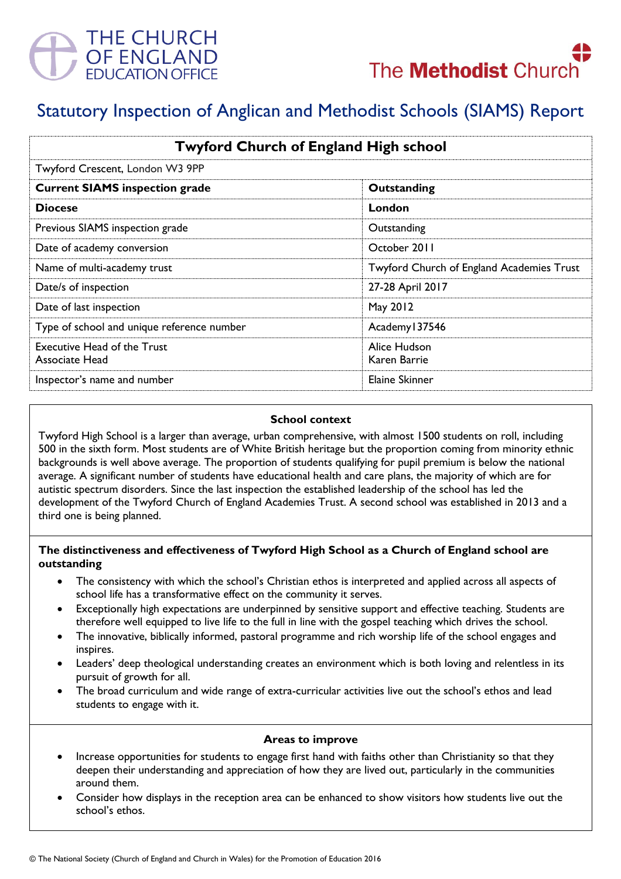



# Statutory Inspection of Anglican and Methodist Schools (SIAMS) Report

| <b>Twyford Church of England High school</b>         |                                           |
|------------------------------------------------------|-------------------------------------------|
| Twyford Crescent, London W3 9PP                      |                                           |
| <b>Current SIAMS inspection grade</b>                | Outstanding                               |
| <b>Diocese</b>                                       | London                                    |
| Previous SIAMS inspection grade                      | Outstanding                               |
| Date of academy conversion                           | October 2011                              |
| Name of multi-academy trust                          | Twyford Church of England Academies Trust |
| Date/s of inspection                                 | 27-28 April 2017                          |
| Date of last inspection                              | May 2012                                  |
| Type of school and unique reference number           | Academy 137546                            |
| <b>Executive Head of the Trust</b><br>Associate Head | Alice Hudson<br>Karen Barrie              |
| Inspector's name and number                          | Elaine Skinner                            |

## **School context**

Twyford High School is a larger than average, urban comprehensive, with almost 1500 students on roll, including 500 in the sixth form. Most students are of White British heritage but the proportion coming from minority ethnic backgrounds is well above average. The proportion of students qualifying for pupil premium is below the national average. A significant number of students have educational health and care plans, the majority of which are for autistic spectrum disorders. Since the last inspection the established leadership of the school has led the development of the Twyford Church of England Academies Trust. A second school was established in 2013 and a third one is being planned.

## **The distinctiveness and effectiveness of Twyford High School as a Church of England school are outstanding**

- The consistency with which the school's Christian ethos is interpreted and applied across all aspects of school life has a transformative effect on the community it serves.
- Exceptionally high expectations are underpinned by sensitive support and effective teaching. Students are therefore well equipped to live life to the full in line with the gospel teaching which drives the school.
- The innovative, biblically informed, pastoral programme and rich worship life of the school engages and inspires.
- Leaders' deep theological understanding creates an environment which is both loving and relentless in its pursuit of growth for all.
- The broad curriculum and wide range of extra-curricular activities live out the school's ethos and lead students to engage with it.

#### **Areas to improve**

- Increase opportunities for students to engage first hand with faiths other than Christianity so that they deepen their understanding and appreciation of how they are lived out, particularly in the communities around them.
- Consider how displays in the reception area can be enhanced to show visitors how students live out the school's ethos.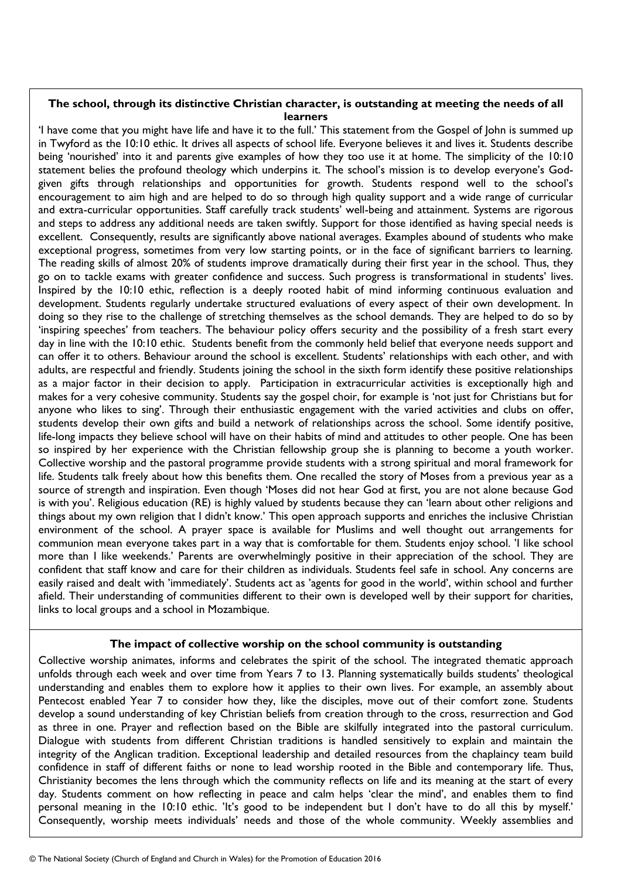## **The school, through its distinctive Christian character, is outstanding at meeting the needs of all learners**

'I have come that you might have life and have it to the full.' This statement from the Gospel of John is summed up in Twyford as the 10:10 ethic. It drives all aspects of school life. Everyone believes it and lives it. Students describe being 'nourished' into it and parents give examples of how they too use it at home. The simplicity of the 10:10 statement belies the profound theology which underpins it. The school's mission is to develop everyone's Godgiven gifts through relationships and opportunities for growth. Students respond well to the school's encouragement to aim high and are helped to do so through high quality support and a wide range of curricular and extra-curricular opportunities. Staff carefully track students' well-being and attainment. Systems are rigorous and steps to address any additional needs are taken swiftly. Support for those identified as having special needs is excellent. Consequently, results are significantly above national averages. Examples abound of students who make exceptional progress, sometimes from very low starting points, or in the face of significant barriers to learning. The reading skills of almost 20% of students improve dramatically during their first year in the school. Thus, they go on to tackle exams with greater confidence and success. Such progress is transformational in students' lives. Inspired by the 10:10 ethic, reflection is a deeply rooted habit of mind informing continuous evaluation and development. Students regularly undertake structured evaluations of every aspect of their own development. In doing so they rise to the challenge of stretching themselves as the school demands. They are helped to do so by 'inspiring speeches' from teachers. The behaviour policy offers security and the possibility of a fresh start every day in line with the 10:10 ethic. Students benefit from the commonly held belief that everyone needs support and can offer it to others. Behaviour around the school is excellent. Students' relationships with each other, and with adults, are respectful and friendly. Students joining the school in the sixth form identify these positive relationships as a major factor in their decision to apply. Participation in extracurricular activities is exceptionally high and makes for a very cohesive community. Students say the gospel choir, for example is 'not just for Christians but for anyone who likes to sing'. Through their enthusiastic engagement with the varied activities and clubs on offer, students develop their own gifts and build a network of relationships across the school. Some identify positive, life-long impacts they believe school will have on their habits of mind and attitudes to other people. One has been so inspired by her experience with the Christian fellowship group she is planning to become a youth worker. Collective worship and the pastoral programme provide students with a strong spiritual and moral framework for life. Students talk freely about how this benefits them. One recalled the story of Moses from a previous year as a source of strength and inspiration. Even though 'Moses did not hear God at first, you are not alone because God is with you'. Religious education (RE) is highly valued by students because they can 'learn about other religions and things about my own religion that I didn't know.' This open approach supports and enriches the inclusive Christian environment of the school. A prayer space is available for Muslims and well thought out arrangements for communion mean everyone takes part in a way that is comfortable for them. Students enjoy school. 'I like school more than I like weekends.' Parents are overwhelmingly positive in their appreciation of the school. They are confident that staff know and care for their children as individuals. Students feel safe in school. Any concerns are easily raised and dealt with 'immediately'. Students act as 'agents for good in the world', within school and further afield. Their understanding of communities different to their own is developed well by their support for charities, links to local groups and a school in Mozambique.

#### **The impact of collective worship on the school community is outstanding**

Collective worship animates, informs and celebrates the spirit of the school. The integrated thematic approach unfolds through each week and over time from Years 7 to 13. Planning systematically builds students' theological understanding and enables them to explore how it applies to their own lives. For example, an assembly about Pentecost enabled Year 7 to consider how they, like the disciples, move out of their comfort zone. Students develop a sound understanding of key Christian beliefs from creation through to the cross, resurrection and God as three in one. Prayer and reflection based on the Bible are skilfully integrated into the pastoral curriculum. Dialogue with students from different Christian traditions is handled sensitively to explain and maintain the integrity of the Anglican tradition. Exceptional leadership and detailed resources from the chaplaincy team build confidence in staff of different faiths or none to lead worship rooted in the Bible and contemporary life. Thus, Christianity becomes the lens through which the community reflects on life and its meaning at the start of every day. Students comment on how reflecting in peace and calm helps 'clear the mind', and enables them to find personal meaning in the 10:10 ethic. 'It's good to be independent but I don't have to do all this by myself.' Consequently, worship meets individuals' needs and those of the whole community. Weekly assemblies and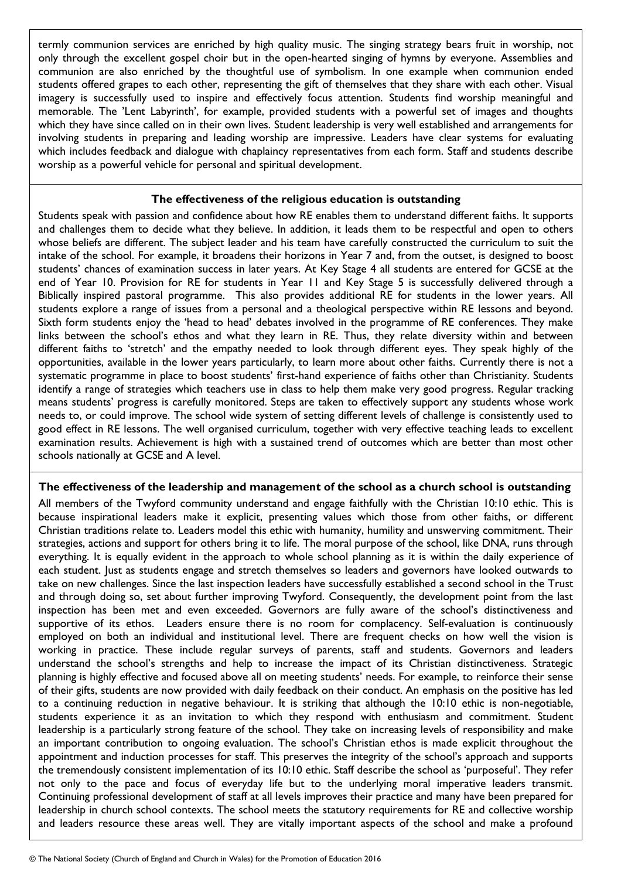termly communion services are enriched by high quality music. The singing strategy bears fruit in worship, not only through the excellent gospel choir but in the open-hearted singing of hymns by everyone. Assemblies and communion are also enriched by the thoughtful use of symbolism. In one example when communion ended students offered grapes to each other, representing the gift of themselves that they share with each other. Visual imagery is successfully used to inspire and effectively focus attention. Students find worship meaningful and memorable. The 'Lent Labyrinth', for example, provided students with a powerful set of images and thoughts which they have since called on in their own lives. Student leadership is very well established and arrangements for involving students in preparing and leading worship are impressive. Leaders have clear systems for evaluating which includes feedback and dialogue with chaplaincy representatives from each form. Staff and students describe worship as a powerful vehicle for personal and spiritual development.

## **The effectiveness of the religious education is outstanding**

Students speak with passion and confidence about how RE enables them to understand different faiths. It supports and challenges them to decide what they believe. In addition, it leads them to be respectful and open to others whose beliefs are different. The subject leader and his team have carefully constructed the curriculum to suit the intake of the school. For example, it broadens their horizons in Year 7 and, from the outset, is designed to boost students' chances of examination success in later years. At Key Stage 4 all students are entered for GCSE at the end of Year 10. Provision for RE for students in Year 11 and Key Stage 5 is successfully delivered through a Biblically inspired pastoral programme. This also provides additional RE for students in the lower years. All students explore a range of issues from a personal and a theological perspective within RE lessons and beyond. Sixth form students enjoy the 'head to head' debates involved in the programme of RE conferences. They make links between the school's ethos and what they learn in RE. Thus, they relate diversity within and between different faiths to 'stretch' and the empathy needed to look through different eyes. They speak highly of the opportunities, available in the lower years particularly, to learn more about other faiths. Currently there is not a systematic programme in place to boost students' first-hand experience of faiths other than Christianity. Students identify a range of strategies which teachers use in class to help them make very good progress. Regular tracking means students' progress is carefully monitored. Steps are taken to effectively support any students whose work needs to, or could improve. The school wide system of setting different levels of challenge is consistently used to good effect in RE lessons. The well organised curriculum, together with very effective teaching leads to excellent examination results. Achievement is high with a sustained trend of outcomes which are better than most other schools nationally at GCSE and A level.

## **The effectiveness of the leadership and management of the school as a church school is outstanding**

All members of the Twyford community understand and engage faithfully with the Christian 10:10 ethic. This is because inspirational leaders make it explicit, presenting values which those from other faiths, or different Christian traditions relate to. Leaders model this ethic with humanity, humility and unswerving commitment. Their strategies, actions and support for others bring it to life. The moral purpose of the school, like DNA, runs through everything. It is equally evident in the approach to whole school planning as it is within the daily experience of each student. Just as students engage and stretch themselves so leaders and governors have looked outwards to take on new challenges. Since the last inspection leaders have successfully established a second school in the Trust and through doing so, set about further improving Twyford. Consequently, the development point from the last inspection has been met and even exceeded. Governors are fully aware of the school's distinctiveness and supportive of its ethos. Leaders ensure there is no room for complacency. Self-evaluation is continuously employed on both an individual and institutional level. There are frequent checks on how well the vision is working in practice. These include regular surveys of parents, staff and students. Governors and leaders understand the school's strengths and help to increase the impact of its Christian distinctiveness. Strategic planning is highly effective and focused above all on meeting students' needs. For example, to reinforce their sense of their gifts, students are now provided with daily feedback on their conduct. An emphasis on the positive has led to a continuing reduction in negative behaviour. It is striking that although the 10:10 ethic is non-negotiable, students experience it as an invitation to which they respond with enthusiasm and commitment. Student leadership is a particularly strong feature of the school. They take on increasing levels of responsibility and make an important contribution to ongoing evaluation. The school's Christian ethos is made explicit throughout the appointment and induction processes for staff. This preserves the integrity of the school's approach and supports the tremendously consistent implementation of its 10:10 ethic. Staff describe the school as 'purposeful'. They refer not only to the pace and focus of everyday life but to the underlying moral imperative leaders transmit. Continuing professional development of staff at all levels improves their practice and many have been prepared for leadership in church school contexts. The school meets the statutory requirements for RE and collective worship and leaders resource these areas well. They are vitally important aspects of the school and make a profound